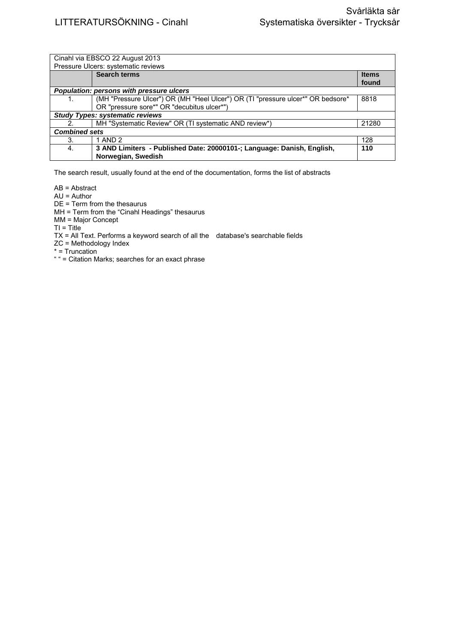| Cinahl via EBSCO 22 August 2013          |                                                                                 |              |  |  |
|------------------------------------------|---------------------------------------------------------------------------------|--------------|--|--|
| Pressure Ulcers: systematic reviews      |                                                                                 |              |  |  |
|                                          | <b>Search terms</b>                                                             | <b>Items</b> |  |  |
|                                          |                                                                                 | found        |  |  |
| Population: persons with pressure ulcers |                                                                                 |              |  |  |
|                                          | (MH "Pressure Ulcer") OR (MH "Heel Ulcer") OR (TI "pressure ulcer*" OR bedsore* | 8818         |  |  |
|                                          | OR "pressure sore*" OR "decubitus ulcer*")                                      |              |  |  |
| <b>Study Types: systematic reviews</b>   |                                                                                 |              |  |  |
| 2.                                       | MH "Systematic Review" OR (TI systematic AND review*)                           | 21280        |  |  |
| <b>Combined sets</b>                     |                                                                                 |              |  |  |
| 3.                                       | 1 AND 2                                                                         | 128          |  |  |
| 4.                                       | 3 AND Limiters - Published Date: 20000101-; Language: Danish, English,          | 110          |  |  |
|                                          | Norwegian, Swedish                                                              |              |  |  |

The search result, usually found at the end of the documentation, forms the list of abstracts

AB = Abstract

AU = Author

DE = Term from the thesaurus

MH = Term from the "Cinahl Headings" thesaurus

MM = Major Concept

TI = Title

TX = All Text. Performs a keyword search of all the database's searchable fields

ZC = Methodology Index

\* = Truncation

" " = Citation Marks; searches for an exact phrase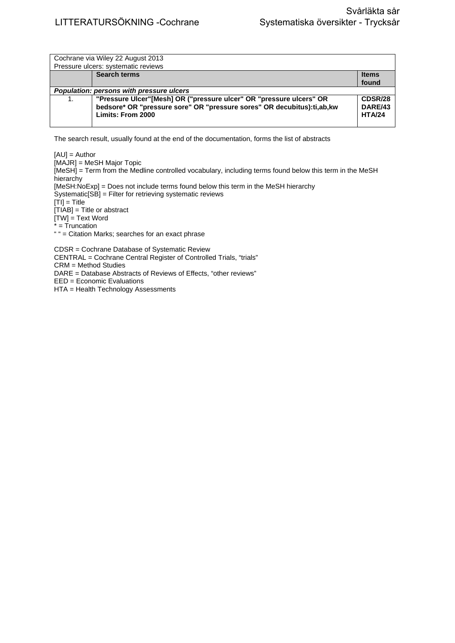| Cochrane via Wiley 22 August 2013<br>Pressure ulcers: systematic reviews |                                                                                                                                                                     |                                     |  |  |
|--------------------------------------------------------------------------|---------------------------------------------------------------------------------------------------------------------------------------------------------------------|-------------------------------------|--|--|
|                                                                          | <b>Search terms</b>                                                                                                                                                 | <b>Items</b><br>found               |  |  |
| <b>Population: persons with pressure ulcers</b>                          |                                                                                                                                                                     |                                     |  |  |
| 1.                                                                       | "Pressure Ulcer"[Mesh] OR ("pressure ulcer" OR "pressure ulcers" OR<br>bedsore* OR "pressure sore" OR "pressure sores" OR decubitus):ti,ab, kw<br>Limits: From 2000 | CDSR/28<br>DARE/43<br><b>HTA/24</b> |  |  |

The search result, usually found at the end of the documentation, forms the list of abstracts

 $[AU] =$  Author [MAJR] = MeSH Major Topic [MeSH] = Term from the Medline controlled vocabulary, including terms found below this term in the MeSH hierarchy [MeSH:NoExp] = Does not include terms found below this term in the MeSH hierarchy Systematic[SB] = Filter for retrieving systematic reviews  $[TI] = Title$ [TIAB] = Title or abstract [TW] = Text Word \* = Truncation " " = Citation Marks; searches for an exact phrase

CDSR = Cochrane Database of Systematic Review CENTRAL = Cochrane Central Register of Controlled Trials, "trials" CRM = Method Studies DARE = Database Abstracts of Reviews of Effects, "other reviews" EED = Economic Evaluations HTA = Health Technology Assessments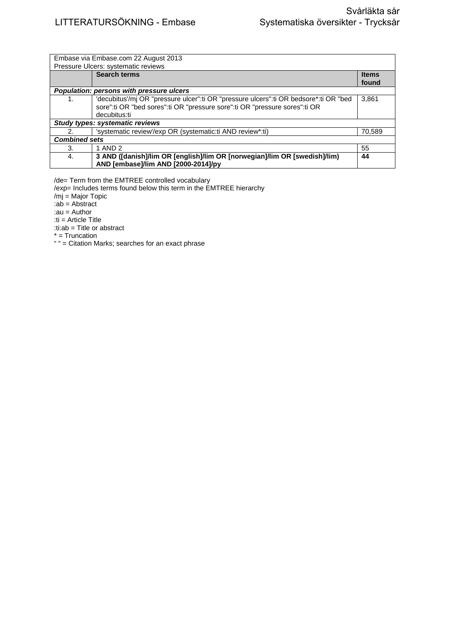| Embase via Embase.com 22 August 2013     |                                                                                      |                       |  |  |
|------------------------------------------|--------------------------------------------------------------------------------------|-----------------------|--|--|
| Pressure Ulcers: systematic reviews      |                                                                                      |                       |  |  |
|                                          | <b>Search terms</b>                                                                  | <b>Items</b><br>found |  |  |
| Population: persons with pressure ulcers |                                                                                      |                       |  |  |
| 1.                                       | 'decubitus'/mj OR "pressure ulcer":ti OR "pressure ulcers":ti OR bedsore*:ti OR "bed | 3,861                 |  |  |
|                                          | sore":ti OR "bed sores":ti OR "pressure sore":ti OR "pressure sores":ti OR           |                       |  |  |
|                                          | decubitus:ti                                                                         |                       |  |  |
| Study types: systematic reviews          |                                                                                      |                       |  |  |
| 2.                                       | 'systematic review'/exp OR (systematic:ti AND review*:ti)                            | 70,589                |  |  |
| <b>Combined sets</b>                     |                                                                                      |                       |  |  |
| 3.                                       | 1 AND 2                                                                              | 55                    |  |  |
| 4.                                       | 3 AND ([danish]/lim OR [english]/lim OR [norwegian]/lim OR [swedish]/lim)            | 44                    |  |  |
|                                          | AND [embase]/lim AND [2000-2014]/py                                                  |                       |  |  |
|                                          |                                                                                      |                       |  |  |

/de= Term from the EMTREE controlled vocabulary

/exp= Includes terms found below this term in the EMTREE hierarchy

/mj = Major Topic

:ab = Abstract

:au = Author

:ti = Article Title

:ti:ab = Title or abstract

\* = Truncation

" = Citation Marks; searches for an exact phrase